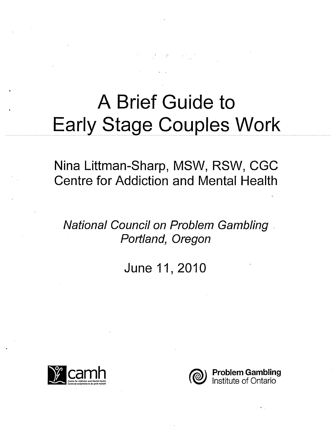# A Brief Guide to **Early Stage Couples Work**

 $\frac{1}{2}F_{\mu\nu}(\Sigma_{\mu}^{\mu}\Sigma_{\nu}^{\mu})=\frac{1}{2}F_{\mu\nu}(\Sigma_{\mu}^{\mu}\Sigma_{\nu}^{\mu})\frac{1}{2}F_{\mu\nu}(\Sigma_{\mu}^{\mu}\Sigma_{\nu}^{\mu})$ 

Nina Littman-Sharp, MSW, RSW, CGC **Centre for Addiction and Mental Health** 

**National Council on Problem Gambling** Portland, Oregon

June 11, 2010



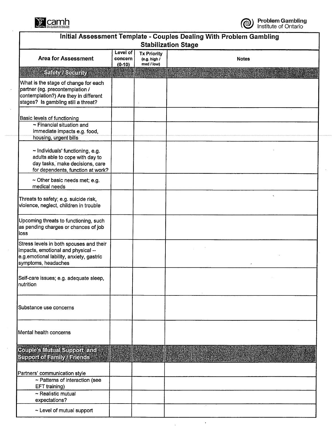

| Initial Assessment Template - Couples Dealing With Problem Gambling<br><b>Stabilization Stage</b>                                                       |                                 |                                                  |              |  |
|---------------------------------------------------------------------------------------------------------------------------------------------------------|---------------------------------|--------------------------------------------------|--------------|--|
| <b>Area for Assessment</b>                                                                                                                              | Level of<br>concern<br>$(0-10)$ | <b>Tx Priority</b><br>(e.g. high /<br>med / low) | <b>Notes</b> |  |
| Sakaty Aseemby                                                                                                                                          |                                 |                                                  |              |  |
| What is the stage of change for each<br>partner (eg. precontemplation /<br>contemplation?) Are they in different<br>stages? Is gambling still a threat? |                                 |                                                  |              |  |
| <b>Basic levels of functioning</b><br>$\sim$ Financial situation and<br>immediate impacts e.g. food,<br>housing, urgent bills                           |                                 |                                                  |              |  |
| $\sim$ Individuals' functioning, e.g.<br>adults able to cope with day to<br>day tasks, make decisions, care<br>for dependents, function at work?        |                                 |                                                  |              |  |
| $\sim$ Other basic needs met; e.g.<br>medical needs                                                                                                     |                                 |                                                  |              |  |
| Threats to safety; e.g. suicide risk,<br>violence, neglect, children in trouble                                                                         |                                 |                                                  |              |  |
| Upcoming threats to functioning, such<br>as pending charges or chances of job<br>loss                                                                   |                                 |                                                  |              |  |
| Stress levels in both spouses and their<br>impacts, emotional and physical --<br>e.g.emotional lability, anxiety, gastric<br>symptoms, headaches        |                                 |                                                  |              |  |
| Self-care issues; e.g. adequate sleep,<br>nutrition                                                                                                     |                                 |                                                  |              |  |
| Substance use concerns                                                                                                                                  |                                 |                                                  |              |  |
| Mental health concerns                                                                                                                                  |                                 |                                                  |              |  |
| <b>Couple's Muttal Support and</b><br>Supportor Family/Farence                                                                                          |                                 |                                                  |              |  |
| Partners' communication style<br>~ Patterns of interaction (see<br>EFT training)<br>~ Realistic mutual<br>expectations?                                 |                                 |                                                  |              |  |
| ~ Level of mutual support                                                                                                                               |                                 |                                                  |              |  |

 $\hat{\mathcal{A}}$ 

 $\hat{\mathcal{L}}$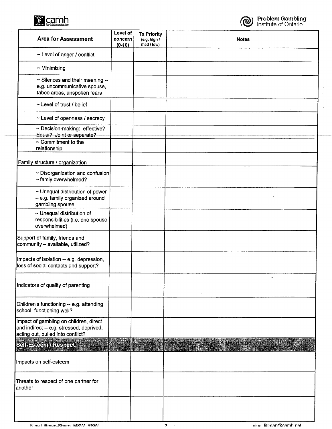



 $\overline{a}$ 

 $\overline{a}$ 

 $\bar{z}$ 

| <b>Area for Assessment</b>                                                                                              | Level of<br>concern<br>$(0-10)$ | <b>Tx Priority</b><br>(e.g. high /<br>med / low) | <b>Notes</b> |
|-------------------------------------------------------------------------------------------------------------------------|---------------------------------|--------------------------------------------------|--------------|
| ~ Level of anger / conflict                                                                                             |                                 |                                                  |              |
| $\sim$ Minimizing                                                                                                       |                                 |                                                  |              |
| ~ Silences and their meaning --<br>e.g. uncommunicative spouse,<br>taboo areas, unspoken fears                          |                                 |                                                  |              |
| ~ Level of trust / belief                                                                                               |                                 |                                                  |              |
| ~ Level of openness / secrecy                                                                                           |                                 |                                                  |              |
| ~ Decision-making: effective?<br>Equal? Joint or separate?                                                              |                                 |                                                  |              |
| $\sim$ Commitment to the<br>relationship                                                                                |                                 |                                                  |              |
| Family structure / organization                                                                                         |                                 |                                                  |              |
| ~ Disorganization and confusion<br>- famiy overwhelmed?                                                                 |                                 |                                                  |              |
| $\sim$ Unequal distribution of power<br>- e.g. family organized around<br>gambling spouse                               |                                 |                                                  |              |
| $\sim$ Unequal distribution of<br>responsibilities (i.e. one spouse<br>overwhelmed)                                     |                                 |                                                  |              |
| Support of family, friends and<br>community - available, utilized?                                                      |                                 |                                                  |              |
| Impacts of isolation -- e.g. depression,<br>loss of social contacts and support?                                        |                                 |                                                  |              |
| Indicators of quality of parenting                                                                                      |                                 |                                                  |              |
| Children's functioning -- e.g. attending<br>school, functioning well?                                                   |                                 |                                                  |              |
| Impact of gambling on children, direct<br>and indirect -- e.g. stressed, deprived,<br>acting out, pulled into conflict? |                                 |                                                  |              |
| Sellesteem/Respect                                                                                                      |                                 |                                                  |              |
| Impacts on self-esteem                                                                                                  |                                 |                                                  |              |
| Threats to respect of one partner for<br>another                                                                        |                                 |                                                  |              |
|                                                                                                                         |                                 |                                                  |              |

 $\sim$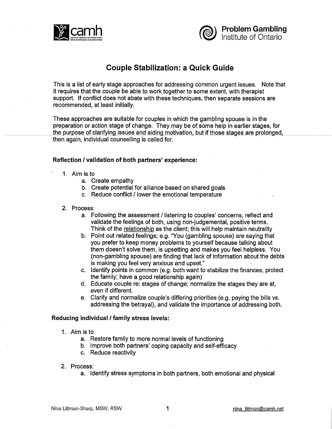



# **Couple Stabilization: a Quick Guide**

This is a list of early stage approaches for addressing common urgent issues. Note that it requires that the couple be able to work together to some extent, with therapist support. If conflict does not abate with these techniques, then separate sessions are recommended, at least initially.

These approaches are suitable for couples in which the gambling spouse is in the preparation or action stage of change. They may be of some help in earlier stages, for the purpose of clarifying issues and aiding motivation, but if those stages are prolonged, then again, individual counselling is called for.

# **Reflection / validation of both partners' experience:**

- 1. Aim is to
	- a. Create empathy
	- b. Create potential for alliance based on shared goals
	- c. Reduce conflict / lower the emotional temperature

#### 2. Process:

- a. Following the assessment / listening to couples' concerns, reflect and validate the feelings of both, using non-judgemental, positive terms. Think of the relationship as the client; this will help maintain neutrality
- b. Point out related feelings; e.g. "You (gambling spouse) are saying that you prefer to keep money problems to yourself because talking about them doesn't solve them, is upsetting and makes you feel helpless. You (non-gambling spouse) are finding that lack of information about the debts is making you feel very anxious and upset."
- c. Identify points in common (e.g. both want to stabilize the finances, protect the family; have a good relationship again)
- d. Educate couple re: stages of change; normalize the stages they are at, even if different.
- e. Clarify and normalize couple's differing priorities (e.g. paying the bills vs. addressing the betrayal), and validate the importance of addressing both.

#### **Reducing individual / family stress levels:**

- 1. Aim is to
	- a. Restore family to more normal levels of functioning
	- b. Improve both partners' coping capacity and self-efficacy
	- c. Reduce reactivity
- 2. Process:
	- a. Identify stress symptoms in both partners, both emotional and physical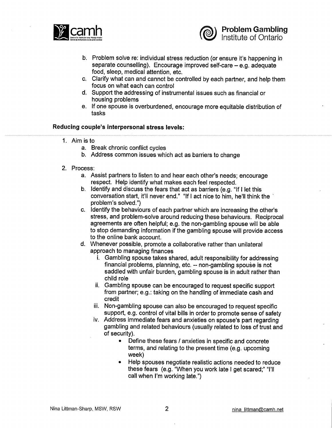



- b. Problem solve re: individual stress reduction (or ensure it's happening in separate counselling). Encourage improved self-care - e.g. adequate food, sleep, medical attention, etc.
- c. Clarify what can and cannot be controlled by each partner, and help them focus on what each can control
- d. Support the addressing of instrumental issues such as financial or housing problems
- e. If one spouse is overburdened, encourage more equitable distribution of tasks

#### **Reducing couple's interpersonal stress levels:**

- 1. Aim is to
	- a. Break chronic conflict cycles
	- b. Address common issues which act as barriers to change
- 2. Process:
	- a. Assist partners to listen to and hear each other's needs; encourage respect. Help identify what makes each feel respected.
	- b. Identify and discuss the fears that act as barriers (e.g. "If I let this conversation start, it'll never end." "If I act nice to him, he'll think the ` problem's solved.")
	- c. Identify the behaviours of each partner which are increasing the other's stress, and problem-solve around reducing these behaviours. Reciprocal agreements are often helpful; e.g. the non-gambling spouse will be able to stop demanding information if the gambling spouse will provide access to the online bank account.
	- d. Whenever possible, promote a collaborative rather than unilateral approach to managing finances
		- i. Gambling spouse takes shared, adult responsibility for addressing financial problems, planning, etc. ~ non-gambling spouse is not saddled with unfair burden, gambling spouse is in adult rather than child role
		- ii. Gambling spouse can be encouraged to request specific support from partner; e.g.: taking on the handling of immediate cash and credit
		- iii. Non-gambling spouse can also be encouraged to request specific support, e.g. control of vital bills in order to promote sense of safety
		- iv. Address immediate fears and anxieties on spouse's part regarding gambling and related behaviours (usually related to loss of trust and of security).
			- Define these fears / anxieties in specific and concrete terms, and relating to the present time (e.g. upcoming week)
			- Help spouses negotiate realistic actions needed to reduce these fears (e.g. "When you work late I get scared;" "I'll call when I'm working late.")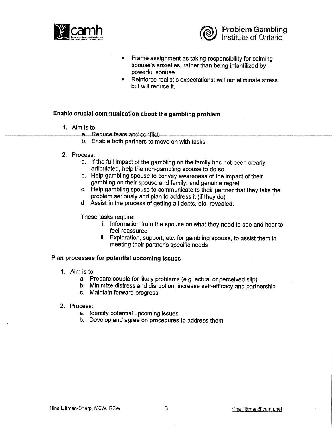



- Frame assignment as taking responsibility for calming  $\bullet$ spouse's anxieties, rather than being infantilized by powerful spouse.
- Reinforce realistic expectations: will not eliminate stress but will reduce it.

#### **Enable crucial communication about the gambling problem**

- 1. Aim is to
	- a. Reduce fears and conflict
	- b. Enable both partners to move on with tasks
- 2. Process:
	- a. If the full impact of the gambling on the family has not been clearly articulated, help the non-gambling spouse to do so
	- b. Help gambling spouse to convey awareness of the impact of their gambling on their spouse and family, and genuine regret.
	- c. Help gambling spouse to communicate to their partner that they take the problem seriously and plan to address it (if they do)
	- d. Assist in the process of getting all debts, etc. revealed.

These tasks require:

- i. Information from the spouse on what they need to see and hear to feel reassured
- ii. Exploration, support, etc. for gambling spouse, to assist them in meeting their partner's specific needs

#### **Plan processes for potential upcoming issues**

- 1. Aim is to
	- a. Prepare couple for likely problems (e.g. actual or perceived slip)
	- b. Minimize distress and disruption, increase self-efficacy and partnership
	- c. Maintain forward progress
- 2. Process:
	- a. Identify potential upcoming issues
	- b. Develop and agree on procedures to address them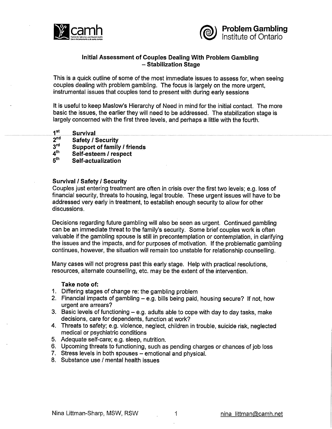



# **Initial Assessment of Couples Dealing With Problem Gambling - Stabilization Stage**

This is a quick outline of some of the most immediate issues to assess for, when seeing couples dealing with problem gambling. The focus is largely on the more urgent, instrumental issues that couples tend to present with during early sessions

It is useful to keep Maslow's Hierarchy of Need in mind for the initial contact. The more basic the issues, the earlier they will need to be addressed. The stabilization stage is largely concerned with the first three levels, and perhaps a little with the fourth.

- $\begin{array}{ll} \textbf{1}^{\text{st}} & \textbf{Survival} \end{array}$
- 2<sup>nd</sup> Safety / Security<br>3<sup>rd</sup> Support of family
- 3<sup>rd</sup> Support of family / friends<br>4<sup>th</sup> Self-esteem / respect
- **4\*" Self-esteem / respect**
- **Self-actualization**

# **Survival / Safety / Security**

Couples just entering treatment are often in crisis over the first two levels; e.g. loss of financial security, threats to housing, legal trouble. These urgent issues will have to be addressed very early in treatment, to establish enough security to allow for other discussions.

Decisions regarding future gambling will also be seen as urgent. Continued gambling can be an immediate threat to the family's security. Some brief couples work is often valuable if the gambling spouse is still in precontemplation or contemplation, in clarifying the issues and the impacts, and for purposes of motivation. If the problematic gambling continues, however, the situation will remain too unstable for relationship counselling.

Many cases will not progress past this early stage. Help with practical resolutions, resources, alternate counselling, etc. may be the extent of the intervention.

#### **Take note of:**

- 1. Differing stages of change re: the gambling problem
- 2. Financial impacts of gambling  $-$  e.g. bills being paid, housing secure? If not, how urgent are arrears?
- 3. Basic levels of functioning  $-$  e.g. adults able to cope with day to day tasks, make decisions, care for dependents, function at work?
- 4. Threats to safety; e.g. violence, neglect, children in trouble, suicide risk, neglected medical or psychiatric conditions
- 5. Adequate self-care; e.g. sleep, nutrition.
- 6. Upcoming threats to functioning, such as pending charges or chances of job loss
- 7. Stress levels in both spouses emotional and physical.
- 8. Substance use / mental health issues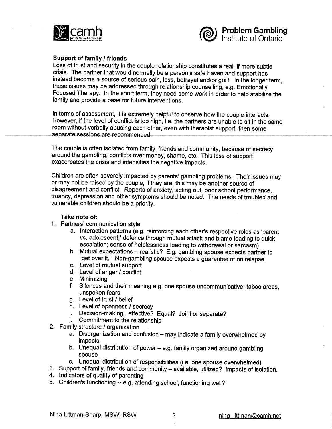



# **Support of family / friends**

Loss of trust and security in the couple relationship constitutes a real, if more subtle crisis. The partner that would normally be a person's safe haven and support has instead become a source of serious pain, loss, betrayal and/or guilt. In the longer term, these issues may be addressed through relationship counselling, e.g. Emotionally Focused Therapy. In the short term, they need some work in order to help stabilize the family and provide a base for future interventions.

In terms of assessment, it is extremely helpful to observe how the couple interacts. However, if the level of conflict is too high, i.e. the partners are unable to sit in the same room without verbally abusing each other, even with therapist support, then some separate sessions are recommended.

The couple is often isolated from family, friends and community, because of secrecy around the gambling, conflicts over money, shame, etc. This loss of support exacerbates the crisis and intensifies the negative impacts.

Children are often severely impacted by parents' gambling problems. Their issues may or may not be raised by the couple; if they are, this may be another source of disagreement and conflict. Reports of anxiety, acting out, poor school performance, truancy, depression and other symptoms should be noted. The needs of troubled and vulnerable children should be a priority.

#### **Take note of:**

- 1. Partners' communication style
	- a. Interaction patterns (e.g. reinforcing each other's respective roles as 'parent vs. adolescent;' defence through mutual attack and blame leading to quick escalation; sense of helplessness leading to withdrawal or sarcasm)
	- b. Mutual expectations realistic? E.g. gambling spouse expects partner to "get over it." Non-gambling spouse expects a guarantee of no relapse.
	- c. Level of mutual support
	- d. Level of anger / conflict
	- e. Minimizing
	- f. Silences and their meaning e.g. one spouse uncommunicative; taboo areas, unspoken fears
	- g. Level of trust / belief
	- h. Level of openness / secrecy
	- i. Decision-making: effective? Equal? Joint or separate?
	- j. Commitment to the relationship
- 2. Family structure / organization
	- a. Disorganization and confusion may indicate a family overwhelmed by impacts
	- b. Unequal distribution of power e.g. family organized around gambling spouse
	- c. Unequal distribution of responsibilities (i.e. one spouse overwhelmed)
- 3. Support of family, friends and community available, utilized? Impacts of isolation.
- 4. Indicators of quality of parenting
- 5. Children's functioning ~ e.g. attending school, functioning well?